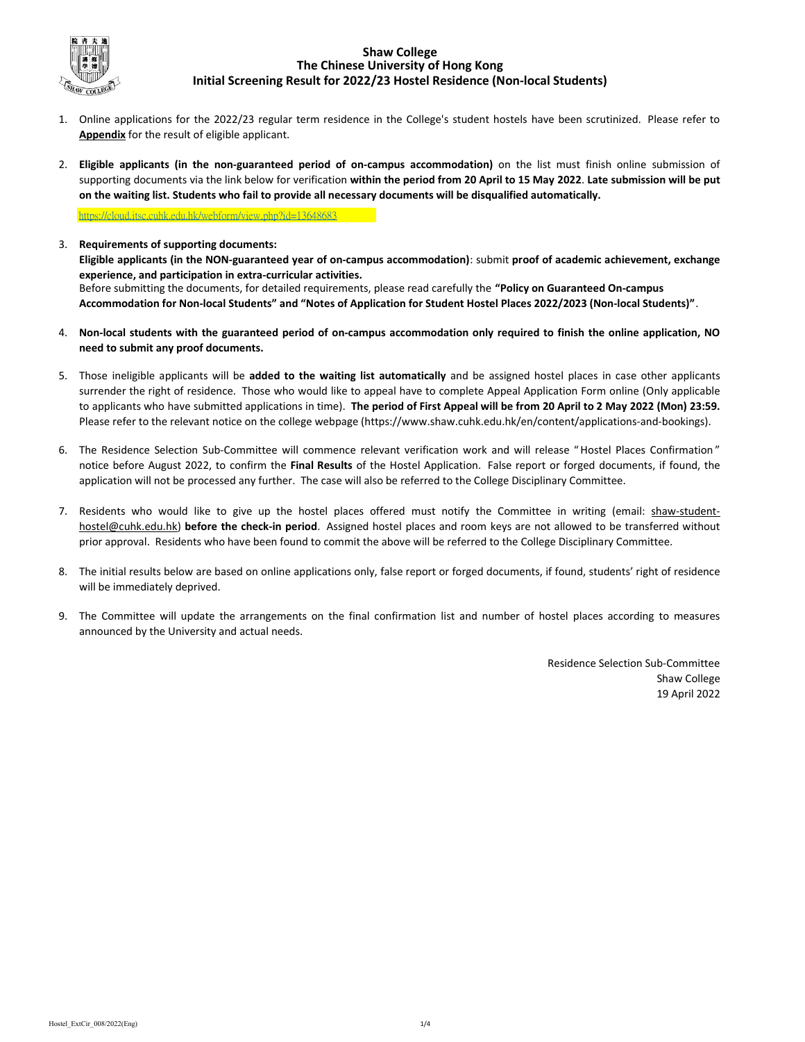

## Shaw College The Chinese University of Hong Kong Initial Screening Result for 2022/23 Hostel Residence (Non-local Students)

- 1. Online applications for the 2022/23 regular term residence in the College's student hostels have been scrutinized. Please refer to Appendix for the result of eligible applicant.
- 2. Eligible applicants (in the non-guaranteed period of on-campus accommodation) on the list must finish online submission of supporting documents via the link below for verification within the period from 20 April to 15 May 2022. Late submission will be put on the waiting list. Students who fail to provide all necessary documents will be disqualified automatically.

https://cloud.itsc.cuhk.edu.hk/webform/view.php?id=13648683

- 3. Requirements of supporting documents: Before submitting the documents, for detailed requirements, please read carefully the "Policy on Guaranteed On-campus Accommodation for Non-local Students" and "Notes of Application for Student Hostel Places 2022/2023 (Non-local Students)". Eligible applicants (in the NON-guaranteed year of on-campus accommodation): submit proof of academic achievement, exchange experience, and participation in extra-curricular activities.
- 4. Non-local students with the guaranteed period of on-campus accommodation only required to finish the online application, NO need to submit any proof documents.
- 5. Those ineligible applicants will be added to the waiting list automatically and be assigned hostel places in case other applicants surrender the right of residence. Those who would like to appeal have to complete Appeal Application Form online (Only applicable to applicants who have submitted applications in time). The period of First Appeal will be from 20 April to 2 May 2022 (Mon) 23:59. Please refer to the relevant notice on the college webpage (https://www.shaw.cuhk.edu.hk/en/content/applications-and-bookings).
- 6. The Residence Selection Sub-Committee will commence relevant verification work and will release " Hostel Places Confirmation " notice before August 2022, to confirm the Final Results of the Hostel Application. False report or forged documents, if found, the application will not be processed any further. The case will also be referred to the College Disciplinary Committee.
- 7. Residents who would like to give up the hostel places offered must notify the Committee in writing (email: shaw-studenthostel@cuhk.edu.hk) before the check-in period. Assigned hostel places and room keys are not allowed to be transferred without prior approval. Residents who have been found to commit the above will be referred to the College Disciplinary Committee.
- 8. The initial results below are based on online applications only, false report or forged documents, if found, students' right of residence will be immediately deprived.
- 9. The Committee will update the arrangements on the final confirmation list and number of hostel places according to measures announced by the University and actual needs.

Residence Selection Sub-Committee Shaw College 19 April 2022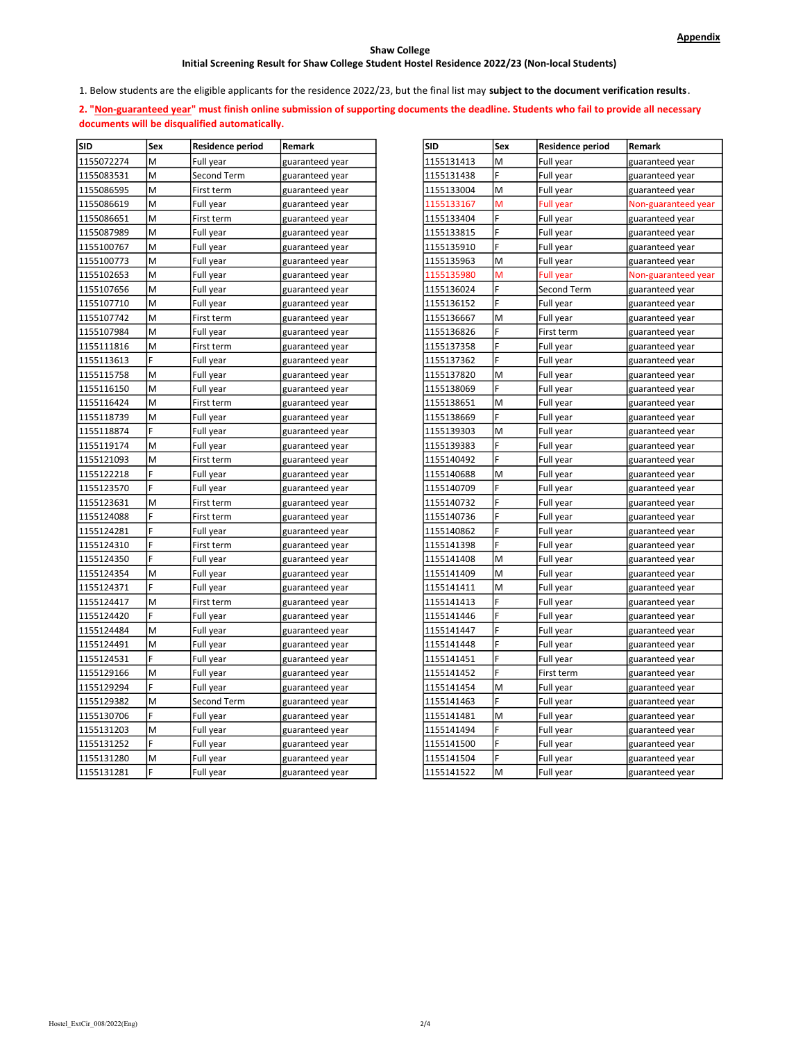### Shaw College

# Initial Screening Result for Shaw College Student Hostel Residence 2022/23 (Non-local Students)

1. Below students are the eligible applicants for the residence 2022/23, but the final list may subject to the document verification results.

2. "Non-guaranteed year" must finish online submission of supporting documents the deadline. Students who fail to provide all necessary documents will be disqualified automatically.

| <b>SID</b> | Sex | Residence period | Remark          | <b>SID</b> | Sex | <b>Residence period</b> | Remark              |
|------------|-----|------------------|-----------------|------------|-----|-------------------------|---------------------|
| 1155072274 | M   | Full year        | guaranteed year | 1155131413 | M   | Full year               | guaranteed year     |
| 1155083531 | M   | Second Term      | guaranteed year | 1155131438 | F   | Full year               | guaranteed year     |
| 1155086595 | M   | First term       | guaranteed year | 1155133004 | M   | Full year               | guaranteed year     |
| 1155086619 | M   | Full year        | guaranteed year | 1155133167 | M   | <b>Full year</b>        | Non-guaranteed year |
| 1155086651 | lм  | First term       | guaranteed year | 1155133404 | F   | Full year               | guaranteed year     |
| 1155087989 | M   | Full year        | guaranteed year | 1155133815 | F   | Full year               | guaranteed year     |
| 1155100767 | M   | Full year        | guaranteed year | 1155135910 | F   | Full year               | guaranteed year     |
| 1155100773 | M   | Full year        | guaranteed year | 1155135963 | M   | Full year               | guaranteed year     |
| 1155102653 | M   | Full year        | guaranteed year | 1155135980 | M   | <b>Full year</b>        | Non-guaranteed year |
| 1155107656 | lм  | Full year        | guaranteed year | 1155136024 | F   | Second Term             | guaranteed year     |
| 1155107710 | M   | Full year        | guaranteed year | 1155136152 | F   | Full year               | guaranteed year     |
| 1155107742 | M   | First term       | guaranteed year | 1155136667 | M   | Full year               | guaranteed year     |
| 1155107984 | M   | Full year        | guaranteed year | 1155136826 | F   | First term              | guaranteed year     |
| 1155111816 | M   | First term       | guaranteed year | 1155137358 | F   | Full year               | guaranteed year     |
| 1155113613 | F   | Full year        | guaranteed year | 1155137362 | F   | Full year               | guaranteed year     |
| 1155115758 | M   | Full year        | guaranteed year | 1155137820 | M   | Full year               | guaranteed year     |
| 1155116150 | M   | Full year        | guaranteed year | 1155138069 | F   | Full year               | guaranteed year     |
| 1155116424 | M   | First term       | guaranteed year | 1155138651 | M   | Full year               | guaranteed year     |
| 1155118739 | M   | Full year        | guaranteed year | 1155138669 | F   | Full year               | guaranteed year     |
| 1155118874 | F   | Full year        | guaranteed year | 1155139303 | M   | Full year               | guaranteed year     |
| 1155119174 | M   | Full year        | guaranteed year | 1155139383 | F   | Full year               | guaranteed year     |
| 1155121093 | M   | First term       | guaranteed year | 1155140492 | F   | Full year               | guaranteed year     |
| 1155122218 | F   | Full year        | guaranteed year | 1155140688 | M   | Full year               | guaranteed year     |
| 1155123570 | ١F  | Full year        | guaranteed year | 1155140709 | F   | Full year               | guaranteed year     |
| 1155123631 | M   | First term       | guaranteed year | 1155140732 | F   | Full year               | guaranteed year     |
| 1155124088 | F   | First term       | guaranteed year | 1155140736 | F   | Full year               | guaranteed year     |
| 1155124281 | F   | Full year        | guaranteed year | 1155140862 | F   | Full year               | guaranteed year     |
| 1155124310 | F   | First term       | guaranteed year | 1155141398 |     | Full year               | guaranteed year     |
| 1155124350 | F   | Full year        | guaranteed year | 1155141408 | M   | Full year               | guaranteed year     |
| 1155124354 | M   | Full year        | guaranteed year | 1155141409 | M   | Full year               | guaranteed year     |
| 1155124371 | F   | Full year        | guaranteed year | 1155141411 | M   | Full year               | guaranteed year     |
| 1155124417 | M   | First term       | guaranteed year | 1155141413 | F   | Full year               | guaranteed year     |
| 1155124420 | F   | Full year        | guaranteed year | 1155141446 | F   | Full year               | guaranteed year     |
| 1155124484 | lм  | Full year        | guaranteed year | 1155141447 | F   | Full year               | guaranteed year     |
| 1155124491 | M   | Full year        | guaranteed year | 1155141448 | F   | Full year               | guaranteed year     |
| 1155124531 | F   | Full year        | guaranteed year | 1155141451 | F   | Full year               | guaranteed year     |
| 1155129166 | M   | Full year        | guaranteed year | 1155141452 | F   | First term              | guaranteed year     |
| 1155129294 | F   | Full year        | guaranteed year | 1155141454 | M   | Full year               | guaranteed year     |
| 1155129382 | M   | Second Term      | guaranteed year | 1155141463 | F   | Full year               | guaranteed year     |
| 1155130706 | F   | Full year        | guaranteed year | 1155141481 | M   | Full year               | guaranteed year     |
| 1155131203 | M   | Full year        | guaranteed year | 1155141494 | F   | Full year               | guaranteed year     |
| 1155131252 | ١F  | Full year        | guaranteed year | 1155141500 | F   | Full year               | guaranteed year     |
| 1155131280 | M   | Full year        | guaranteed year | 1155141504 | F   | Full year               | guaranteed year     |
| 1155131281 | F   | Full year        | guaranteed year | 1155141522 | M   | Full year               | guaranteed year     |

| <b>SID</b> | Sex | <b>Residence period</b> | Remark              |
|------------|-----|-------------------------|---------------------|
| 1155131413 | M   | Full year               | guaranteed year     |
| 1155131438 | F   | Full year               | guaranteed year     |
| 1155133004 | M   | Full year               | guaranteed year     |
| 1155133167 | M   | Full year               | Non-guaranteed year |
| 1155133404 | F   | Full year               | guaranteed year     |
| 1155133815 | F   | Full year               | guaranteed year     |
| 1155135910 | F   | Full year               | guaranteed year     |
| 1155135963 | M   | Full year               | guaranteed year     |
| 1155135980 | м   | <b>Full year</b>        | Non-guaranteed year |
| 1155136024 | F   | <b>Second Term</b>      | guaranteed year     |
| 1155136152 | F   | Full year               | guaranteed year     |
| 1155136667 | M   | Full year               | guaranteed year     |
| 1155136826 | F   | First term              | guaranteed year     |
| 1155137358 | F   | Full year               | guaranteed year     |
| 1155137362 | F   | Full year               | guaranteed year     |
| 1155137820 | M   | Full year               | guaranteed year     |
| 1155138069 | F   | Full year               | guaranteed year     |
| 1155138651 | M   | Full year               | guaranteed year     |
| 1155138669 | F   | Full year               | guaranteed year     |
| 1155139303 | M   | Full year               | guaranteed year     |
| 1155139383 | F   | Full year               | guaranteed year     |
| 1155140492 | F   | Full year               | guaranteed year     |
| 1155140688 | M   | Full year               | guaranteed year     |
| 1155140709 | F   | Full year               | guaranteed year     |
| 1155140732 | F   | Full year               | guaranteed year     |
| 1155140736 | F   | Full year               | guaranteed year     |
| 1155140862 | F   | Full year               | guaranteed year     |
| 1155141398 | F   | Full year               | guaranteed year     |
| 1155141408 | M   | Full year               | guaranteed year     |
| 1155141409 | M   | Full year               | guaranteed year     |
| 1155141411 | М   | Full year               | guaranteed year     |
| 1155141413 | F   | Full year               | guaranteed year     |
| 1155141446 | F   | Full year               | guaranteed year     |
| 1155141447 | F   | Full year               | guaranteed year     |
| 1155141448 | F   | Full year               | guaranteed year     |
| 1155141451 | F   | Full year               | guaranteed year     |
| 1155141452 | F   | First term              | guaranteed year     |
| 1155141454 | M   | Full year               | guaranteed year     |
| 1155141463 | F   | Full year               | guaranteed year     |
| 1155141481 | M   | Full year               | guaranteed year     |
| 1155141494 | F   | Full year               | guaranteed year     |
| 1155141500 | F   | Full year               | guaranteed year     |
| 1155141504 | F   | Full year               | guaranteed year     |
| 1155141522 | M   | Full year               | guaranteed year     |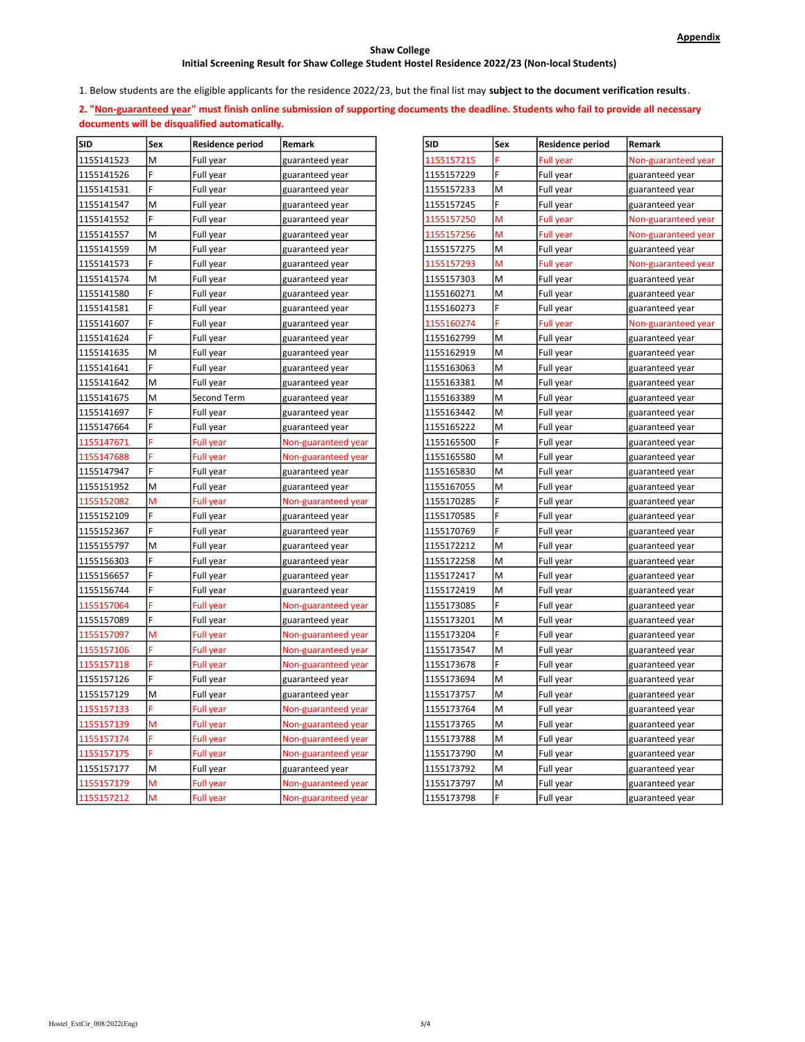### Shaw College

# Initial Screening Result for Shaw College Student Hostel Residence 2022/23 (Non-local Students)

1. Below students are the eligible applicants for the residence 2022/23, but the final list may subject to the document verification results.

2. "Non-guaranteed year" must finish online submission of supporting documents the deadline. Students who fail to provide all necessary documents will be disqualified automatically.

| <b>SID</b> | Sex | <b>Residence period</b> | Remark              | <b>SID</b> | Sex | <b>Residence period</b> | Remark              |
|------------|-----|-------------------------|---------------------|------------|-----|-------------------------|---------------------|
| 1155141523 | M   | Full year               | guaranteed year     | 1155157215 |     | <b>Full year</b>        | Non-guaranteed year |
| 1155141526 | F   | Full year               | guaranteed year     | 1155157229 | F   | Full year               | guaranteed year     |
| 1155141531 | F   | Full year               | guaranteed year     | 1155157233 | M   | Full year               | guaranteed year     |
| 1155141547 | M   | Full year               | guaranteed year     | 1155157245 | F   | Full year               | guaranteed year     |
| 1155141552 | F.  | Full year               | guaranteed year     | 1155157250 | M   | Full year               | Non-guaranteed year |
| 1155141557 | M   | Full year               | guaranteed year     | 1155157256 | M   | Full year               | Non-guaranteed year |
| 1155141559 | M   | Full year               | guaranteed year     | 1155157275 | M   | Full year               | guaranteed year     |
| 1155141573 | F.  | Full year               | guaranteed year     | 1155157293 | M   | <b>Full year</b>        | Non-guaranteed year |
| 1155141574 | M   | Full year               | guaranteed year     | 1155157303 | M   | Full year               | guaranteed year     |
| 1155141580 | F   | Full year               | guaranteed year     | 1155160271 | M   | Full year               | guaranteed year     |
| 1155141581 | F   | Full year               | guaranteed year     | 1155160273 | F   | Full year               | guaranteed year     |
| 1155141607 | F   | Full year               | guaranteed year     | 1155160274 |     | <b>Full year</b>        | Non-guaranteed year |
| 1155141624 | F   | Full year               | guaranteed year     | 1155162799 | M   | Full year               | guaranteed year     |
| 1155141635 | M   | Full year               | guaranteed year     | 1155162919 | M   | Full year               | guaranteed year     |
| 1155141641 | F   | Full year               | guaranteed year     | 1155163063 | M   | Full year               | guaranteed year     |
| 1155141642 | M   | Full year               | guaranteed year     | 1155163381 | M   | Full year               | guaranteed year     |
| 1155141675 | M   | Second Term             | guaranteed year     | 1155163389 | M   | Full year               | guaranteed year     |
| 1155141697 | F   | Full year               | guaranteed year     | 1155163442 | M   | Full year               | guaranteed year     |
| 1155147664 | F   | Full year               | guaranteed year     | 1155165222 | M   | Full year               | guaranteed year     |
| 1155147671 | F   | Full year               | Non-guaranteed year | 1155165500 | F   | Full year               | guaranteed year     |
| 1155147688 |     | Full year               | Non-guaranteed year | 1155165580 | M   | Full year               | guaranteed year     |
| 1155147947 | F   | Full year               | guaranteed year     | 1155165830 | M   | Full year               | guaranteed year     |
| 1155151952 | M   | Full year               | guaranteed year     | 1155167055 | M   | Full year               | guaranteed year     |
| 1155152082 | M   | Full year               | Non-guaranteed year | 1155170285 | F   | Full year               | guaranteed year     |
| 1155152109 | F   | Full year               | guaranteed year     | 1155170585 |     | Full year               | guaranteed year     |
| 1155152367 | F   | Full year               | guaranteed year     | 1155170769 | F   | Full year               | guaranteed year     |
| 1155155797 | M   | Full year               | guaranteed year     | 1155172212 | M   | Full year               | guaranteed year     |
| 1155156303 | F   | Full year               | guaranteed year     | 1155172258 | M   | Full year               | guaranteed year     |
| 1155156657 | F   | Full year               | guaranteed year     | 1155172417 | M   | Full year               | guaranteed year     |
| 1155156744 | F   | Full year               | guaranteed year     | 1155172419 | M   | Full year               | guaranteed year     |
| 1155157064 |     | Full year               | Non-guaranteed year | 1155173085 | F   | Full year               | guaranteed year     |
| 1155157089 | F   | Full year               | guaranteed year     | 1155173201 | M   | Full year               | guaranteed year     |
| 1155157097 | М   | Full year               | Non-guaranteed year | 1155173204 | F   | Full year               | guaranteed year     |
| 1155157106 |     | Full year               | Non-guaranteed year | 1155173547 | M   | Full year               | guaranteed year     |
| 1155157118 | F   | Full year               | Non-guaranteed year | 1155173678 | F   | Full year               | guaranteed year     |
| 1155157126 | F   | Full year               | guaranteed year     | 1155173694 | M   | Full year               | guaranteed year     |
| 1155157129 | M   | Full year               | guaranteed year     | 1155173757 | M   | Full year               | guaranteed year     |
| 1155157133 | Ë   | Full year               | Non-guaranteed year | 1155173764 | M   | Full year               | guaranteed year     |
| 1155157139 | M   | Full year               | Non-guaranteed year | 1155173765 | M   | Full year               | guaranteed year     |
| 1155157174 |     | <b>Full year</b>        | Non-guaranteed year | 1155173788 | M   | Full year               | guaranteed year     |
| 1155157175 | F   | Full year               | Non-guaranteed year | 1155173790 | M   | Full year               | guaranteed year     |
| 1155157177 | M   | Full year               | guaranteed year     | 1155173792 | M   | Full year               | guaranteed year     |
| 1155157179 | M   | Full year               | Non-guaranteed year | 1155173797 | M   | Full year               | guaranteed year     |
| 1155157212 | M   | <b>Full year</b>        | Non-guaranteed year | 1155173798 | F   | Full year               | guaranteed year     |

| <b>SID</b> | Sex | Residence period | Remark              |
|------------|-----|------------------|---------------------|
| 1155157215 |     | Full year        | Non-guaranteed year |
| 1155157229 | F   | Full year        | guaranteed year     |
| 1155157233 | M   | Full year        | guaranteed year     |
| 1155157245 | F   | Full year        | guaranteed year     |
| 1155157250 | М   | Full year        | Non-guaranteed year |
| 1155157256 | м   | Full year        | Non-guaranteed year |
| 1155157275 | M   | Full year        | guaranteed year     |
| 1155157293 | М   | Full year        | Non-guaranteed year |
| 1155157303 | М   | Full year        | guaranteed year     |
| 1155160271 | M   | Full year        | guaranteed year     |
| 1155160273 | F   | Full year        | guaranteed year     |
| 1155160274 | F   | Full year        | Non-guaranteed year |
| 1155162799 | M   | Full year        | guaranteed year     |
| 1155162919 | М   | Full year        | guaranteed year     |
| 1155163063 | M   | Full year        | guaranteed year     |
| 1155163381 | M   | Full year        | guaranteed year     |
| 1155163389 | M   | Full year        | guaranteed year     |
| 1155163442 | M   | Full year        | guaranteed year     |
| 1155165222 | M   | Full year        | guaranteed year     |
| 1155165500 | F   | Full year        | guaranteed year     |
| 1155165580 | M   | Full year        | guaranteed year     |
| 1155165830 | M   | Full year        | guaranteed year     |
| 1155167055 | M   | Full year        | guaranteed year     |
| 1155170285 | F   | Full year        | guaranteed year     |
| 1155170585 | F   | Full year        | guaranteed year     |
| 1155170769 | F   | Full year        | guaranteed year     |
| 1155172212 | M   | Full year        | guaranteed year     |
| 1155172258 | M   | Full year        | guaranteed year     |
| 1155172417 | M   | Full year        | guaranteed year     |
| 1155172419 | M   | Full year        | guaranteed year     |
| 1155173085 | F   | Full year        | guaranteed year     |
| 1155173201 | M   | Full year        | guaranteed year     |
| 1155173204 | F   | Full year        | guaranteed year     |
| 1155173547 | M   | Full year        | guaranteed year     |
| 1155173678 | F   | Full year        | guaranteed year     |
| 1155173694 | M   | Full year        | guaranteed year     |
| 1155173757 | М   | Full year        | guaranteed year     |
| 1155173764 | М   | Full year        | guaranteed year     |
| 1155173765 | M   | Full year        | guaranteed year     |
| 1155173788 | M   | Full year        | guaranteed year     |
| 1155173790 | M   | Full year        | guaranteed year     |
| 1155173792 | M   | Full year        | guaranteed year     |
| 1155173797 | M   | Full year        | guaranteed year     |
| 1155173798 | F   | Full year        | guaranteed year     |